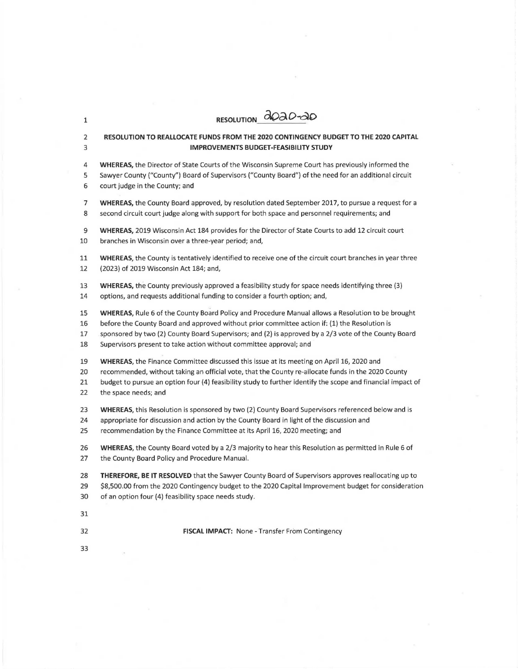| 1              | RESOLUTION 2020-20                                                                                          |
|----------------|-------------------------------------------------------------------------------------------------------------|
| $\overline{2}$ | RESOLUTION TO REALLOCATE FUNDS FROM THE 2020 CONTINGENCY BUDGET TO THE 2020 CAPITAL                         |
| 3              | <b>IMPROVEMENTS BUDGET-FEASIBILITY STUDY</b>                                                                |
| 4              | WHEREAS, the Director of State Courts of the Wisconsin Supreme Court has previously informed the            |
| 5              | Sawyer County ("County") Board of Supervisors ("County Board") of the need for an additional circuit        |
| 6              | court judge in the County; and                                                                              |
| 7              | WHEREAS, the County Board approved, by resolution dated September 2017, to pursue a request for a           |
| 8              | second circuit court judge along with support for both space and personnel requirements; and                |
| 9              | WHEREAS, 2019 Wisconsin Act 184 provides for the Director of State Courts to add 12 circuit court           |
| 10             | branches in Wisconsin over a three-year period; and,                                                        |
| 11             | WHEREAS, the County is tentatively identified to receive one of the circuit court branches in year three    |
| 12             | (2023) of 2019 Wisconsin Act 184; and,                                                                      |
| 13             | WHEREAS, the County previously approved a feasibility study for space needs identifying three (3)           |
| 14             | options, and requests additional funding to consider a fourth option; and,                                  |
| 15             | WHEREAS, Rule 6 of the County Board Policy and Procedure Manual allows a Resolution to be brought           |
| 16             | before the County Board and approved without prior committee action if: (1) the Resolution is               |
| 17             | sponsored by two (2) County Board Supervisors; and (2) is approved by a 2/3 vote of the County Board        |
| 18             | Supervisors present to take action without committee approval; and                                          |
| 19             | WHEREAS, the Finance Committee discussed this issue at its meeting on April 16, 2020 and                    |
| 20             | recommended, without taking an official vote, that the County re-allocate funds in the 2020 County          |
| 21             | budget to pursue an option four (4) feasibility study to further identify the scope and financial impact of |
| 22             | the space needs; and                                                                                        |
| 23             | WHEREAS, this Resolution is sponsored by two (2) County Board Supervisors referenced below and is           |
| 24             | appropriate for discussion and action by the County Board in light of the discussion and                    |
| 25             | recommendation by the Finance Committee at its April 16, 2020 meeting; and                                  |
| 26             | WHEREAS, the County Board voted by a 2/3 majority to hear this Resolution as permitted in Rule 6 of         |
| 27             | the County Board Policy and Procedure Manual.                                                               |
| 28             | THEREFORE, BE IT RESOLVED that the Sawyer County Board of Supervisors approves reallocating up to           |
| 29             | \$8,500.00 from the 2020 Contingency budget to the 2020 Capital Improvement budget for consideration        |
| 30             | of an option four (4) feasibility space needs study.                                                        |
| 31             |                                                                                                             |
| 32             | FISCAL IMPACT: None - Transfer From Contingency                                                             |
| 33             |                                                                                                             |